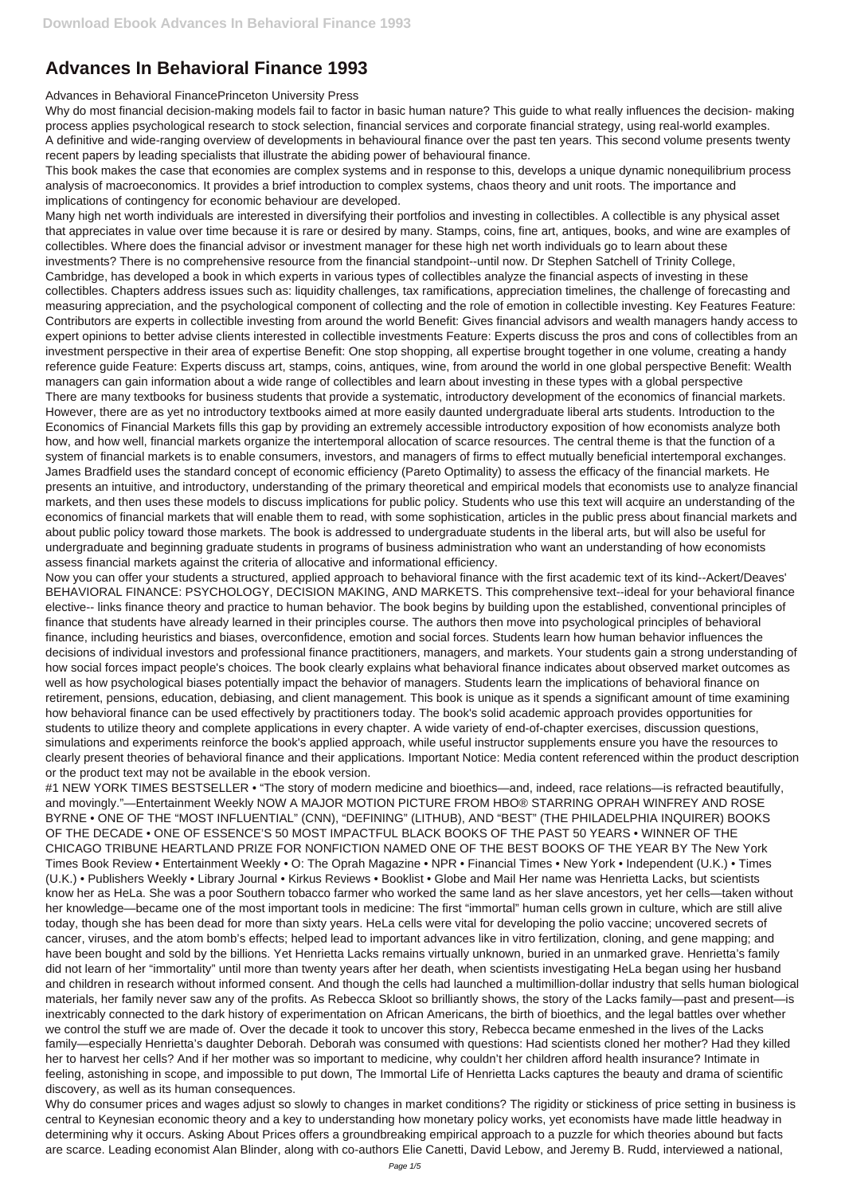## **Advances In Behavioral Finance 1993**

Advances in Behavioral FinancePrinceton University Press

Why do most financial decision-making models fail to factor in basic human nature? This guide to what really influences the decision- making process applies psychological research to stock selection, financial services and corporate financial strategy, using real-world examples. A definitive and wide-ranging overview of developments in behavioural finance over the past ten years. This second volume presents twenty recent papers by leading specialists that illustrate the abiding power of behavioural finance.

This book makes the case that economies are complex systems and in response to this, develops a unique dynamic nonequilibrium process analysis of macroeconomics. It provides a brief introduction to complex systems, chaos theory and unit roots. The importance and implications of contingency for economic behaviour are developed.

Many high net worth individuals are interested in diversifying their portfolios and investing in collectibles. A collectible is any physical asset that appreciates in value over time because it is rare or desired by many. Stamps, coins, fine art, antiques, books, and wine are examples of collectibles. Where does the financial advisor or investment manager for these high net worth individuals go to learn about these investments? There is no comprehensive resource from the financial standpoint--until now. Dr Stephen Satchell of Trinity College, Cambridge, has developed a book in which experts in various types of collectibles analyze the financial aspects of investing in these collectibles. Chapters address issues such as: liquidity challenges, tax ramifications, appreciation timelines, the challenge of forecasting and measuring appreciation, and the psychological component of collecting and the role of emotion in collectible investing. Key Features Feature: Contributors are experts in collectible investing from around the world Benefit: Gives financial advisors and wealth managers handy access to expert opinions to better advise clients interested in collectible investments Feature: Experts discuss the pros and cons of collectibles from an investment perspective in their area of expertise Benefit: One stop shopping, all expertise brought together in one volume, creating a handy reference guide Feature: Experts discuss art, stamps, coins, antiques, wine, from around the world in one global perspective Benefit: Wealth managers can gain information about a wide range of collectibles and learn about investing in these types with a global perspective There are many textbooks for business students that provide a systematic, introductory development of the economics of financial markets. However, there are as yet no introductory textbooks aimed at more easily daunted undergraduate liberal arts students. Introduction to the Economics of Financial Markets fills this gap by providing an extremely accessible introductory exposition of how economists analyze both how, and how well, financial markets organize the intertemporal allocation of scarce resources. The central theme is that the function of a system of financial markets is to enable consumers, investors, and managers of firms to effect mutually beneficial intertemporal exchanges. James Bradfield uses the standard concept of economic efficiency (Pareto Optimality) to assess the efficacy of the financial markets. He presents an intuitive, and introductory, understanding of the primary theoretical and empirical models that economists use to analyze financial markets, and then uses these models to discuss implications for public policy. Students who use this text will acquire an understanding of the economics of financial markets that will enable them to read, with some sophistication, articles in the public press about financial markets and about public policy toward those markets. The book is addressed to undergraduate students in the liberal arts, but will also be useful for undergraduate and beginning graduate students in programs of business administration who want an understanding of how economists assess financial markets against the criteria of allocative and informational efficiency.

Now you can offer your students a structured, applied approach to behavioral finance with the first academic text of its kind--Ackert/Deaves' BEHAVIORAL FINANCE: PSYCHOLOGY, DECISION MAKING, AND MARKETS. This comprehensive text--ideal for your behavioral finance elective-- links finance theory and practice to human behavior. The book begins by building upon the established, conventional principles of finance that students have already learned in their principles course. The authors then move into psychological principles of behavioral finance, including heuristics and biases, overconfidence, emotion and social forces. Students learn how human behavior influences the decisions of individual investors and professional finance practitioners, managers, and markets. Your students gain a strong understanding of how social forces impact people's choices. The book clearly explains what behavioral finance indicates about observed market outcomes as well as how psychological biases potentially impact the behavior of managers. Students learn the implications of behavioral finance on retirement, pensions, education, debiasing, and client management. This book is unique as it spends a significant amount of time examining how behavioral finance can be used effectively by practitioners today. The book's solid academic approach provides opportunities for students to utilize theory and complete applications in every chapter. A wide variety of end-of-chapter exercises, discussion questions, simulations and experiments reinforce the book's applied approach, while useful instructor supplements ensure you have the resources to clearly present theories of behavioral finance and their applications. Important Notice: Media content referenced within the product description or the product text may not be available in the ebook version.

#1 NEW YORK TIMES BESTSELLER • "The story of modern medicine and bioethics—and, indeed, race relations—is refracted beautifully, and movingly."—Entertainment Weekly NOW A MAJOR MOTION PICTURE FROM HBO® STARRING OPRAH WINFREY AND ROSE BYRNE • ONE OF THE "MOST INFLUENTIAL" (CNN), "DEFINING" (LITHUB), AND "BEST" (THE PHILADELPHIA INQUIRER) BOOKS OF THE DECADE • ONE OF ESSENCE'S 50 MOST IMPACTFUL BLACK BOOKS OF THE PAST 50 YEARS • WINNER OF THE CHICAGO TRIBUNE HEARTLAND PRIZE FOR NONFICTION NAMED ONE OF THE BEST BOOKS OF THE YEAR BY The New York Times Book Review • Entertainment Weekly • O: The Oprah Magazine • NPR • Financial Times • New York • Independent (U.K.) • Times (U.K.) • Publishers Weekly • Library Journal • Kirkus Reviews • Booklist • Globe and Mail Her name was Henrietta Lacks, but scientists know her as HeLa. She was a poor Southern tobacco farmer who worked the same land as her slave ancestors, yet her cells—taken without her knowledge—became one of the most important tools in medicine: The first "immortal" human cells grown in culture, which are still alive today, though she has been dead for more than sixty years. HeLa cells were vital for developing the polio vaccine; uncovered secrets of cancer, viruses, and the atom bomb's effects; helped lead to important advances like in vitro fertilization, cloning, and gene mapping; and have been bought and sold by the billions. Yet Henrietta Lacks remains virtually unknown, buried in an unmarked grave. Henrietta's family did not learn of her "immortality" until more than twenty years after her death, when scientists investigating HeLa began using her husband and children in research without informed consent. And though the cells had launched a multimillion-dollar industry that sells human biological materials, her family never saw any of the profits. As Rebecca Skloot so brilliantly shows, the story of the Lacks family—past and present—is inextricably connected to the dark history of experimentation on African Americans, the birth of bioethics, and the legal battles over whether we control the stuff we are made of. Over the decade it took to uncover this story, Rebecca became enmeshed in the lives of the Lacks family—especially Henrietta's daughter Deborah. Deborah was consumed with questions: Had scientists cloned her mother? Had they killed her to harvest her cells? And if her mother was so important to medicine, why couldn't her children afford health insurance? Intimate in feeling, astonishing in scope, and impossible to put down, The Immortal Life of Henrietta Lacks captures the beauty and drama of scientific discovery, as well as its human consequences. Why do consumer prices and wages adjust so slowly to changes in market conditions? The rigidity or stickiness of price setting in business is central to Keynesian economic theory and a key to understanding how monetary policy works, yet economists have made little headway in determining why it occurs. Asking About Prices offers a groundbreaking empirical approach to a puzzle for which theories abound but facts are scarce. Leading economist Alan Blinder, along with co-authors Elie Canetti, David Lebow, and Jeremy B. Rudd, interviewed a national,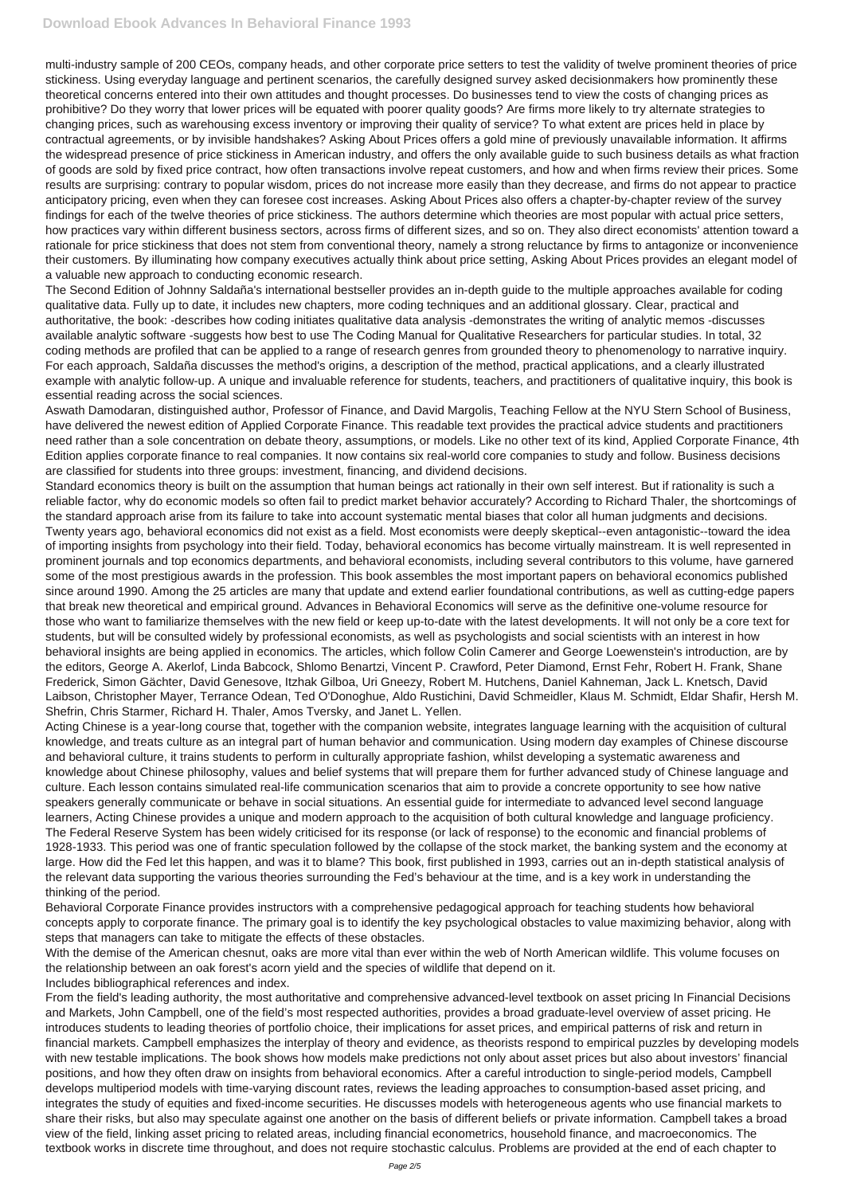multi-industry sample of 200 CEOs, company heads, and other corporate price setters to test the validity of twelve prominent theories of price stickiness. Using everyday language and pertinent scenarios, the carefully designed survey asked decisionmakers how prominently these theoretical concerns entered into their own attitudes and thought processes. Do businesses tend to view the costs of changing prices as prohibitive? Do they worry that lower prices will be equated with poorer quality goods? Are firms more likely to try alternate strategies to changing prices, such as warehousing excess inventory or improving their quality of service? To what extent are prices held in place by contractual agreements, or by invisible handshakes? Asking About Prices offers a gold mine of previously unavailable information. It affirms the widespread presence of price stickiness in American industry, and offers the only available guide to such business details as what fraction of goods are sold by fixed price contract, how often transactions involve repeat customers, and how and when firms review their prices. Some results are surprising: contrary to popular wisdom, prices do not increase more easily than they decrease, and firms do not appear to practice anticipatory pricing, even when they can foresee cost increases. Asking About Prices also offers a chapter-by-chapter review of the survey findings for each of the twelve theories of price stickiness. The authors determine which theories are most popular with actual price setters, how practices vary within different business sectors, across firms of different sizes, and so on. They also direct economists' attention toward a rationale for price stickiness that does not stem from conventional theory, namely a strong reluctance by firms to antagonize or inconvenience their customers. By illuminating how company executives actually think about price setting, Asking About Prices provides an elegant model of a valuable new approach to conducting economic research.

The Second Edition of Johnny Saldaña's international bestseller provides an in-depth guide to the multiple approaches available for coding qualitative data. Fully up to date, it includes new chapters, more coding techniques and an additional glossary. Clear, practical and authoritative, the book: -describes how coding initiates qualitative data analysis -demonstrates the writing of analytic memos -discusses available analytic software -suggests how best to use The Coding Manual for Qualitative Researchers for particular studies. In total, 32 coding methods are profiled that can be applied to a range of research genres from grounded theory to phenomenology to narrative inquiry. For each approach, Saldaña discusses the method's origins, a description of the method, practical applications, and a clearly illustrated example with analytic follow-up. A unique and invaluable reference for students, teachers, and practitioners of qualitative inquiry, this book is essential reading across the social sciences.

Aswath Damodaran, distinguished author, Professor of Finance, and David Margolis, Teaching Fellow at the NYU Stern School of Business, have delivered the newest edition of Applied Corporate Finance. This readable text provides the practical advice students and practitioners need rather than a sole concentration on debate theory, assumptions, or models. Like no other text of its kind, Applied Corporate Finance, 4th Edition applies corporate finance to real companies. It now contains six real-world core companies to study and follow. Business decisions are classified for students into three groups: investment, financing, and dividend decisions.

Standard economics theory is built on the assumption that human beings act rationally in their own self interest. But if rationality is such a reliable factor, why do economic models so often fail to predict market behavior accurately? According to Richard Thaler, the shortcomings of the standard approach arise from its failure to take into account systematic mental biases that color all human judgments and decisions. Twenty years ago, behavioral economics did not exist as a field. Most economists were deeply skeptical--even antagonistic--toward the idea of importing insights from psychology into their field. Today, behavioral economics has become virtually mainstream. It is well represented in prominent journals and top economics departments, and behavioral economists, including several contributors to this volume, have garnered some of the most prestigious awards in the profession. This book assembles the most important papers on behavioral economics published since around 1990. Among the 25 articles are many that update and extend earlier foundational contributions, as well as cutting-edge papers that break new theoretical and empirical ground. Advances in Behavioral Economics will serve as the definitive one-volume resource for those who want to familiarize themselves with the new field or keep up-to-date with the latest developments. It will not only be a core text for students, but will be consulted widely by professional economists, as well as psychologists and social scientists with an interest in how behavioral insights are being applied in economics. The articles, which follow Colin Camerer and George Loewenstein's introduction, are by the editors, George A. Akerlof, Linda Babcock, Shlomo Benartzi, Vincent P. Crawford, Peter Diamond, Ernst Fehr, Robert H. Frank, Shane Frederick, Simon Gächter, David Genesove, Itzhak Gilboa, Uri Gneezy, Robert M. Hutchens, Daniel Kahneman, Jack L. Knetsch, David Laibson, Christopher Mayer, Terrance Odean, Ted O'Donoghue, Aldo Rustichini, David Schmeidler, Klaus M. Schmidt, Eldar Shafir, Hersh M. Shefrin, Chris Starmer, Richard H. Thaler, Amos Tversky, and Janet L. Yellen.

Acting Chinese is a year-long course that, together with the companion website, integrates language learning with the acquisition of cultural knowledge, and treats culture as an integral part of human behavior and communication. Using modern day examples of Chinese discourse and behavioral culture, it trains students to perform in culturally appropriate fashion, whilst developing a systematic awareness and knowledge about Chinese philosophy, values and belief systems that will prepare them for further advanced study of Chinese language and culture. Each lesson contains simulated real-life communication scenarios that aim to provide a concrete opportunity to see how native speakers generally communicate or behave in social situations. An essential guide for intermediate to advanced level second language learners, Acting Chinese provides a unique and modern approach to the acquisition of both cultural knowledge and language proficiency. The Federal Reserve System has been widely criticised for its response (or lack of response) to the economic and financial problems of 1928-1933. This period was one of frantic speculation followed by the collapse of the stock market, the banking system and the economy at large. How did the Fed let this happen, and was it to blame? This book, first published in 1993, carries out an in-depth statistical analysis of the relevant data supporting the various theories surrounding the Fed's behaviour at the time, and is a key work in understanding the thinking of the period.

Behavioral Corporate Finance provides instructors with a comprehensive pedagogical approach for teaching students how behavioral concepts apply to corporate finance. The primary goal is to identify the key psychological obstacles to value maximizing behavior, along with steps that managers can take to mitigate the effects of these obstacles.

With the demise of the American chesnut, oaks are more vital than ever within the web of North American wildlife. This volume focuses on the relationship between an oak forest's acorn yield and the species of wildlife that depend on it.

Includes bibliographical references and index.

From the field's leading authority, the most authoritative and comprehensive advanced-level textbook on asset pricing In Financial Decisions and Markets, John Campbell, one of the field's most respected authorities, provides a broad graduate-level overview of asset pricing. He introduces students to leading theories of portfolio choice, their implications for asset prices, and empirical patterns of risk and return in financial markets. Campbell emphasizes the interplay of theory and evidence, as theorists respond to empirical puzzles by developing models with new testable implications. The book shows how models make predictions not only about asset prices but also about investors' financial positions, and how they often draw on insights from behavioral economics. After a careful introduction to single-period models, Campbell develops multiperiod models with time-varying discount rates, reviews the leading approaches to consumption-based asset pricing, and integrates the study of equities and fixed-income securities. He discusses models with heterogeneous agents who use financial markets to share their risks, but also may speculate against one another on the basis of different beliefs or private information. Campbell takes a broad view of the field, linking asset pricing to related areas, including financial econometrics, household finance, and macroeconomics. The textbook works in discrete time throughout, and does not require stochastic calculus. Problems are provided at the end of each chapter to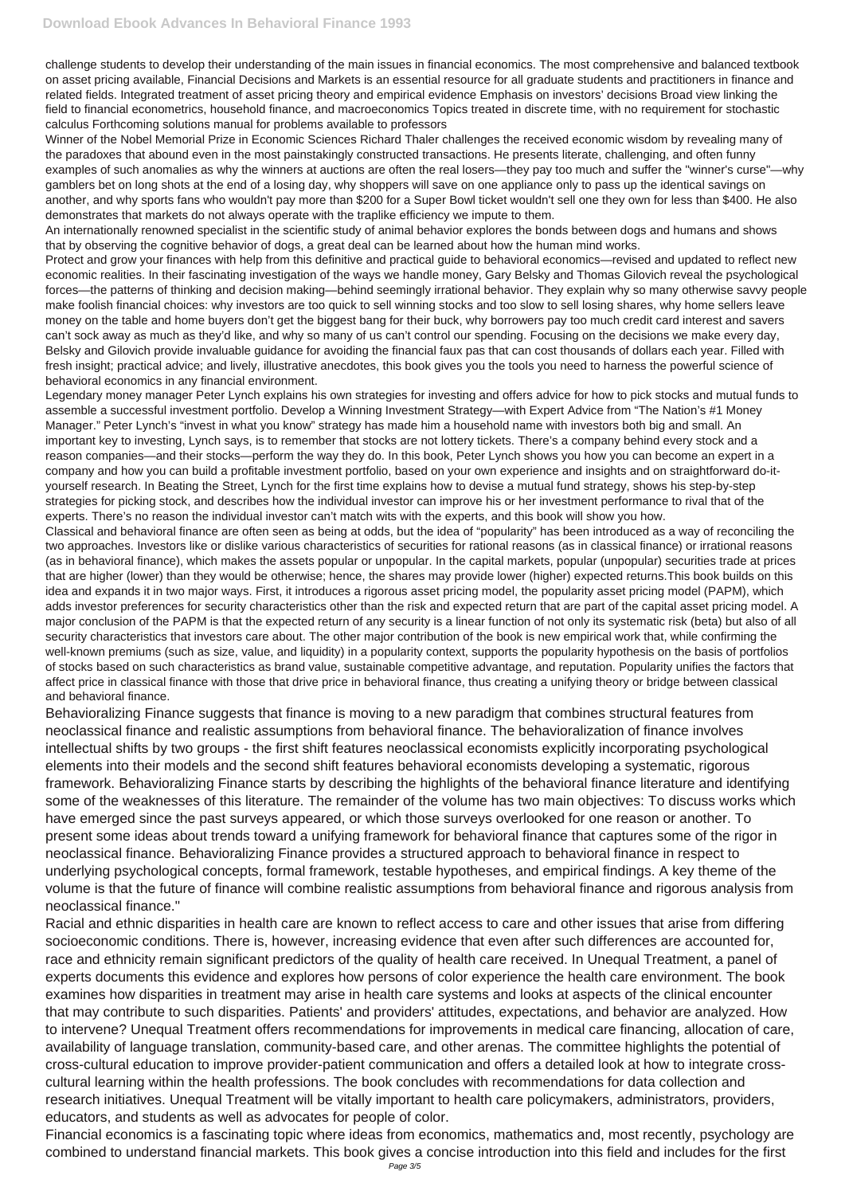challenge students to develop their understanding of the main issues in financial economics. The most comprehensive and balanced textbook on asset pricing available, Financial Decisions and Markets is an essential resource for all graduate students and practitioners in finance and related fields. Integrated treatment of asset pricing theory and empirical evidence Emphasis on investors' decisions Broad view linking the field to financial econometrics, household finance, and macroeconomics Topics treated in discrete time, with no requirement for stochastic calculus Forthcoming solutions manual for problems available to professors

Winner of the Nobel Memorial Prize in Economic Sciences Richard Thaler challenges the received economic wisdom by revealing many of the paradoxes that abound even in the most painstakingly constructed transactions. He presents literate, challenging, and often funny examples of such anomalies as why the winners at auctions are often the real losers—they pay too much and suffer the "winner's curse"—why gamblers bet on long shots at the end of a losing day, why shoppers will save on one appliance only to pass up the identical savings on another, and why sports fans who wouldn't pay more than \$200 for a Super Bowl ticket wouldn't sell one they own for less than \$400. He also demonstrates that markets do not always operate with the traplike efficiency we impute to them.

An internationally renowned specialist in the scientific study of animal behavior explores the bonds between dogs and humans and shows that by observing the cognitive behavior of dogs, a great deal can be learned about how the human mind works.

Protect and grow your finances with help from this definitive and practical guide to behavioral economics—revised and updated to reflect new economic realities. In their fascinating investigation of the ways we handle money, Gary Belsky and Thomas Gilovich reveal the psychological forces—the patterns of thinking and decision making—behind seemingly irrational behavior. They explain why so many otherwise savvy people make foolish financial choices: why investors are too quick to sell winning stocks and too slow to sell losing shares, why home sellers leave money on the table and home buyers don't get the biggest bang for their buck, why borrowers pay too much credit card interest and savers can't sock away as much as they'd like, and why so many of us can't control our spending. Focusing on the decisions we make every day, Belsky and Gilovich provide invaluable guidance for avoiding the financial faux pas that can cost thousands of dollars each year. Filled with fresh insight; practical advice; and lively, illustrative anecdotes, this book gives you the tools you need to harness the powerful science of behavioral economics in any financial environment.

Legendary money manager Peter Lynch explains his own strategies for investing and offers advice for how to pick stocks and mutual funds to assemble a successful investment portfolio. Develop a Winning Investment Strategy—with Expert Advice from "The Nation's #1 Money Manager." Peter Lynch's "invest in what you know" strategy has made him a household name with investors both big and small. An important key to investing, Lynch says, is to remember that stocks are not lottery tickets. There's a company behind every stock and a reason companies—and their stocks—perform the way they do. In this book, Peter Lynch shows you how you can become an expert in a company and how you can build a profitable investment portfolio, based on your own experience and insights and on straightforward do-ityourself research. In Beating the Street, Lynch for the first time explains how to devise a mutual fund strategy, shows his step-by-step strategies for picking stock, and describes how the individual investor can improve his or her investment performance to rival that of the experts. There's no reason the individual investor can't match wits with the experts, and this book will show you how.

Classical and behavioral finance are often seen as being at odds, but the idea of "popularity" has been introduced as a way of reconciling the two approaches. Investors like or dislike various characteristics of securities for rational reasons (as in classical finance) or irrational reasons (as in behavioral finance), which makes the assets popular or unpopular. In the capital markets, popular (unpopular) securities trade at prices that are higher (lower) than they would be otherwise; hence, the shares may provide lower (higher) expected returns.This book builds on this idea and expands it in two major ways. First, it introduces a rigorous asset pricing model, the popularity asset pricing model (PAPM), which adds investor preferences for security characteristics other than the risk and expected return that are part of the capital asset pricing model. A major conclusion of the PAPM is that the expected return of any security is a linear function of not only its systematic risk (beta) but also of all security characteristics that investors care about. The other major contribution of the book is new empirical work that, while confirming the well-known premiums (such as size, value, and liquidity) in a popularity context, supports the popularity hypothesis on the basis of portfolios of stocks based on such characteristics as brand value, sustainable competitive advantage, and reputation. Popularity unifies the factors that affect price in classical finance with those that drive price in behavioral finance, thus creating a unifying theory or bridge between classical and behavioral finance.

Behavioralizing Finance suggests that finance is moving to a new paradigm that combines structural features from neoclassical finance and realistic assumptions from behavioral finance. The behavioralization of finance involves intellectual shifts by two groups - the first shift features neoclassical economists explicitly incorporating psychological elements into their models and the second shift features behavioral economists developing a systematic, rigorous framework. Behavioralizing Finance starts by describing the highlights of the behavioral finance literature and identifying some of the weaknesses of this literature. The remainder of the volume has two main objectives: To discuss works which have emerged since the past surveys appeared, or which those surveys overlooked for one reason or another. To present some ideas about trends toward a unifying framework for behavioral finance that captures some of the rigor in neoclassical finance. Behavioralizing Finance provides a structured approach to behavioral finance in respect to underlying psychological concepts, formal framework, testable hypotheses, and empirical findings. A key theme of the volume is that the future of finance will combine realistic assumptions from behavioral finance and rigorous analysis from neoclassical finance." Racial and ethnic disparities in health care are known to reflect access to care and other issues that arise from differing socioeconomic conditions. There is, however, increasing evidence that even after such differences are accounted for, race and ethnicity remain significant predictors of the quality of health care received. In Unequal Treatment, a panel of experts documents this evidence and explores how persons of color experience the health care environment. The book examines how disparities in treatment may arise in health care systems and looks at aspects of the clinical encounter that may contribute to such disparities. Patients' and providers' attitudes, expectations, and behavior are analyzed. How to intervene? Unequal Treatment offers recommendations for improvements in medical care financing, allocation of care, availability of language translation, community-based care, and other arenas. The committee highlights the potential of cross-cultural education to improve provider-patient communication and offers a detailed look at how to integrate crosscultural learning within the health professions. The book concludes with recommendations for data collection and research initiatives. Unequal Treatment will be vitally important to health care policymakers, administrators, providers, educators, and students as well as advocates for people of color. Financial economics is a fascinating topic where ideas from economics, mathematics and, most recently, psychology are combined to understand financial markets. This book gives a concise introduction into this field and includes for the first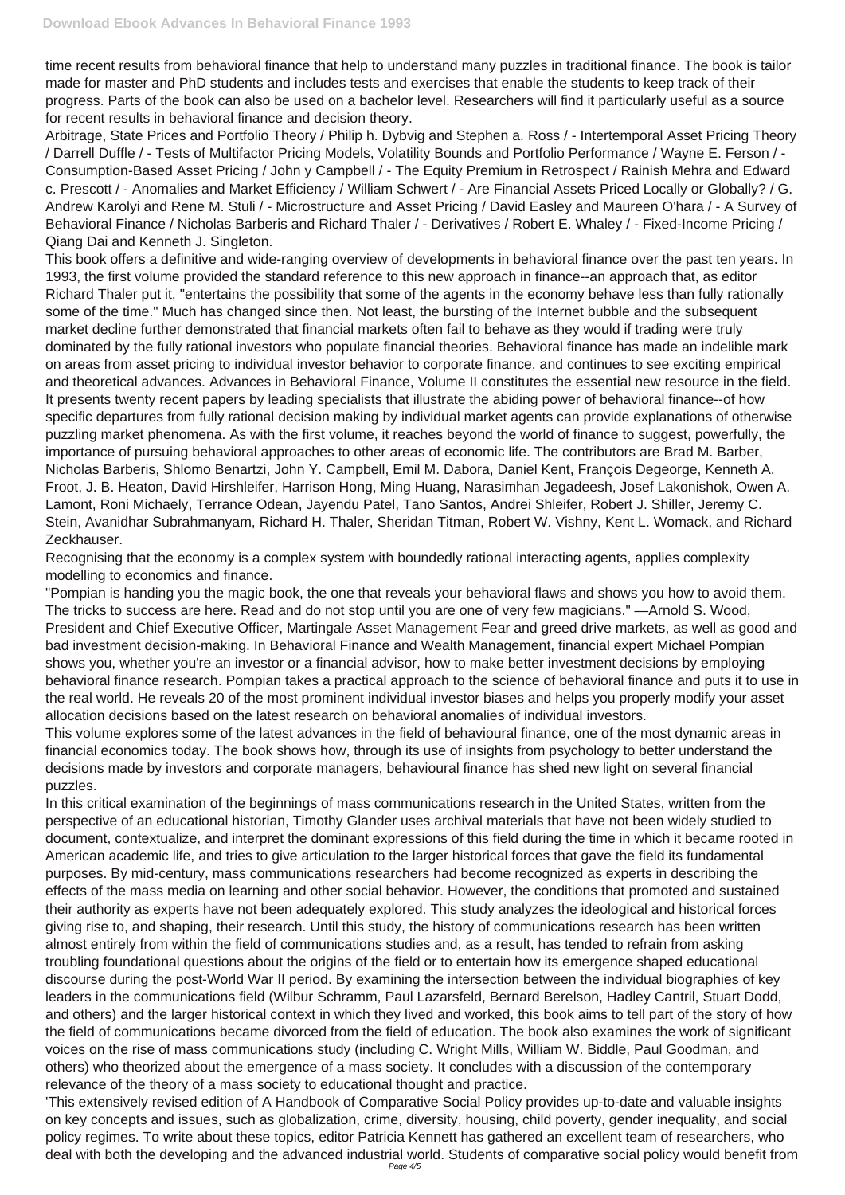time recent results from behavioral finance that help to understand many puzzles in traditional finance. The book is tailor made for master and PhD students and includes tests and exercises that enable the students to keep track of their progress. Parts of the book can also be used on a bachelor level. Researchers will find it particularly useful as a source for recent results in behavioral finance and decision theory.

Arbitrage, State Prices and Portfolio Theory / Philip h. Dybvig and Stephen a. Ross / - Intertemporal Asset Pricing Theory / Darrell Duffle / - Tests of Multifactor Pricing Models, Volatility Bounds and Portfolio Performance / Wayne E. Ferson / - Consumption-Based Asset Pricing / John y Campbell / - The Equity Premium in Retrospect / Rainish Mehra and Edward c. Prescott / - Anomalies and Market Efficiency / William Schwert / - Are Financial Assets Priced Locally or Globally? / G. Andrew Karolyi and Rene M. Stuli / - Microstructure and Asset Pricing / David Easley and Maureen O'hara / - A Survey of Behavioral Finance / Nicholas Barberis and Richard Thaler / - Derivatives / Robert E. Whaley / - Fixed-Income Pricing / Qiang Dai and Kenneth J. Singleton.

This book offers a definitive and wide-ranging overview of developments in behavioral finance over the past ten years. In 1993, the first volume provided the standard reference to this new approach in finance--an approach that, as editor Richard Thaler put it, "entertains the possibility that some of the agents in the economy behave less than fully rationally some of the time." Much has changed since then. Not least, the bursting of the Internet bubble and the subsequent market decline further demonstrated that financial markets often fail to behave as they would if trading were truly dominated by the fully rational investors who populate financial theories. Behavioral finance has made an indelible mark on areas from asset pricing to individual investor behavior to corporate finance, and continues to see exciting empirical and theoretical advances. Advances in Behavioral Finance, Volume II constitutes the essential new resource in the field. It presents twenty recent papers by leading specialists that illustrate the abiding power of behavioral finance--of how specific departures from fully rational decision making by individual market agents can provide explanations of otherwise puzzling market phenomena. As with the first volume, it reaches beyond the world of finance to suggest, powerfully, the importance of pursuing behavioral approaches to other areas of economic life. The contributors are Brad M. Barber, Nicholas Barberis, Shlomo Benartzi, John Y. Campbell, Emil M. Dabora, Daniel Kent, François Degeorge, Kenneth A. Froot, J. B. Heaton, David Hirshleifer, Harrison Hong, Ming Huang, Narasimhan Jegadeesh, Josef Lakonishok, Owen A. Lamont, Roni Michaely, Terrance Odean, Jayendu Patel, Tano Santos, Andrei Shleifer, Robert J. Shiller, Jeremy C. Stein, Avanidhar Subrahmanyam, Richard H. Thaler, Sheridan Titman, Robert W. Vishny, Kent L. Womack, and Richard Zeckhauser.

Recognising that the economy is a complex system with boundedly rational interacting agents, applies complexity modelling to economics and finance.

"Pompian is handing you the magic book, the one that reveals your behavioral flaws and shows you how to avoid them. The tricks to success are here. Read and do not stop until you are one of very few magicians." —Arnold S. Wood, President and Chief Executive Officer, Martingale Asset Management Fear and greed drive markets, as well as good and bad investment decision-making. In Behavioral Finance and Wealth Management, financial expert Michael Pompian shows you, whether you're an investor or a financial advisor, how to make better investment decisions by employing behavioral finance research. Pompian takes a practical approach to the science of behavioral finance and puts it to use in the real world. He reveals 20 of the most prominent individual investor biases and helps you properly modify your asset allocation decisions based on the latest research on behavioral anomalies of individual investors.

This volume explores some of the latest advances in the field of behavioural finance, one of the most dynamic areas in financial economics today. The book shows how, through its use of insights from psychology to better understand the decisions made by investors and corporate managers, behavioural finance has shed new light on several financial puzzles.

In this critical examination of the beginnings of mass communications research in the United States, written from the perspective of an educational historian, Timothy Glander uses archival materials that have not been widely studied to document, contextualize, and interpret the dominant expressions of this field during the time in which it became rooted in American academic life, and tries to give articulation to the larger historical forces that gave the field its fundamental purposes. By mid-century, mass communications researchers had become recognized as experts in describing the effects of the mass media on learning and other social behavior. However, the conditions that promoted and sustained their authority as experts have not been adequately explored. This study analyzes the ideological and historical forces giving rise to, and shaping, their research. Until this study, the history of communications research has been written almost entirely from within the field of communications studies and, as a result, has tended to refrain from asking troubling foundational questions about the origins of the field or to entertain how its emergence shaped educational discourse during the post-World War II period. By examining the intersection between the individual biographies of key leaders in the communications field (Wilbur Schramm, Paul Lazarsfeld, Bernard Berelson, Hadley Cantril, Stuart Dodd, and others) and the larger historical context in which they lived and worked, this book aims to tell part of the story of how the field of communications became divorced from the field of education. The book also examines the work of significant voices on the rise of mass communications study (including C. Wright Mills, William W. Biddle, Paul Goodman, and others) who theorized about the emergence of a mass society. It concludes with a discussion of the contemporary relevance of the theory of a mass society to educational thought and practice. 'This extensively revised edition of A Handbook of Comparative Social Policy provides up-to-date and valuable insights on key concepts and issues, such as globalization, crime, diversity, housing, child poverty, gender inequality, and social policy regimes. To write about these topics, editor Patricia Kennett has gathered an excellent team of researchers, who deal with both the developing and the advanced industrial world. Students of comparative social policy would benefit from Page 4/5